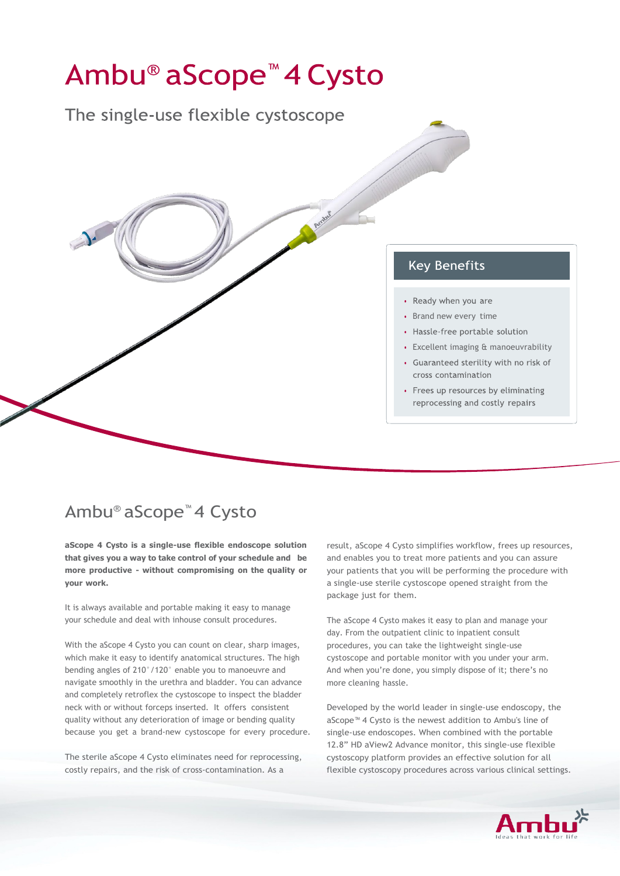## Ambu<sup>®</sup> aScope<sup>™</sup> 4 Cysto The single-use flexible cystoscope Arnbur **Key Benefits** • Ready when you are Brand new every time • Hassle-free portable solution Excellent imaging & manoeuvrability• Guaranteed sterility with no risk of cross contamination • Frees up resources by eliminating reprocessing and costly repairs

## Ambu® aScope™ 4 Cysto

**aScope 4 Cysto is a single-use flexible endoscope solution that gives you a way to take control of your schedule and be more productive - without compromising on the quality or your work.**

It is always available and portable making it easy to manage your schedule and deal with inhouse consult procedures.

With the aScope 4 Cysto you can count on clear, sharp images, which make it easy to identify anatomical structures. The high bending angles of 210°/120° enable you to manoeuvre and navigate smoothly in the urethra and bladder. You can advance and completely retroflex the cystoscope to inspect the bladder neck with or without forceps inserted. It offers consistent quality without any deterioration of image or bending quality because you get a brand-new cystoscope for every procedure.

The sterile aScope 4 Cysto eliminates need for reprocessing, costly repairs, and the risk of cross-contamination. As a

result, aScope 4 Cysto simplifies workflow, frees up resources, and enables you to treat more patients and you can assure your patients that you will be performing the procedure with a single-use sterile cystoscope opened straight from the package just for them.

The aScope 4 Cysto makes it easy to plan and manage your day. From the outpatient clinic to inpatient consult procedures, you can take the lightweight single-use cystoscope and portable monitor with you under your arm. And when you're done, you simply dispose of it; there's no more cleaning hassle.

Developed by the world leader in single-use endoscopy, the aScope™ 4 Cysto is the newest addition to Ambu's line of single-use endoscopes. When combined with the portable 12.8" HD aView2 Advance monitor, this single-use flexible cystoscopy platform provides an effective solution for all flexible cystoscopy procedures across various clinical settings.